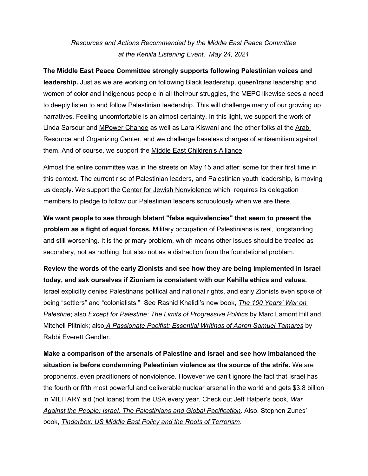## *Resources and Actions Recommended by the Middle East Peace Committee at the Kehilla Listening Event, May 24, 2021*

**The Middle East Peace Committee strongly supports following Palestinian voices and leadership.** Just as we are working on following Black leadership, queer/trans leadership and women of color and indigenous people in all their/our struggles, the MEPC likewise sees a need to deeply listen to and follow Palestinian leadership. This will challenge many of our growing up narratives. Feeling uncomfortable is an almost certainty. In this light, we support the work of Linda Sarsour and MPower Change as well as Lara Kiswani and the other folks at the Arab Resource and Organizing Center, and we challenge baseless charges of antisemitism against them. And of course, we support the Middle East Children's Alliance.

Almost the entire committee was in the streets on May 15 and after; some for their first time in this context. The current rise of Palestinian leaders, and Palestinian youth leadership, is moving us deeply. We support the Center for Jewish Nonviolence which requires its delegation members to pledge to follow our Palestinian leaders scrupulously when we are there.

**We want people to see through blatant "false equivalencies" that seem to present the problem as a fight of equal forces.** Military occupation of Palestinians is real, longstanding and still worsening. It is the primary problem, which means other issues should be treated as secondary, not as nothing, but also not as a distraction from the foundational problem.

**Review the words of the early Zionists and see how they are being implemented in Israel today, and ask ourselves if Zionism is consistent with our Kehilla ethics and values.**  Israel explicitly denies Palestinans political and national rights, and early Zionists even spoke of being "settlers" and "colonialists." See Rashid Khalidi's new book, *The 100 Years' War on Palestine*; also *Except for Palestine: The Limits of Progressive Politics* by Marc Lamont Hill and Mitchell Plitnick; also *A Passionate Pacifist: Essential Writings of Aaron Samuel Tamares* by Rabbi Everett Gendler.

**Make a comparison of the arsenals of Palestine and Israel and see how imbalanced the situation is before condemning Palestinian violence as the source of the strife.** We are proponents, even pracitioners of nonviolence. However we can't ignore the fact that Israel has the fourth or fifth most powerful and deliverable nuclear arsenal in the world and gets \$3.8 billion in MILITARY aid (not loans) from the USA every year. Check out Jeff Halper's book, *War Against the People: Israel, The Palestinians and Global Pacification*. Also, Stephen Zunes' book, *Tinderbox: US Middle East Policy and the Roots of Terrorism*.